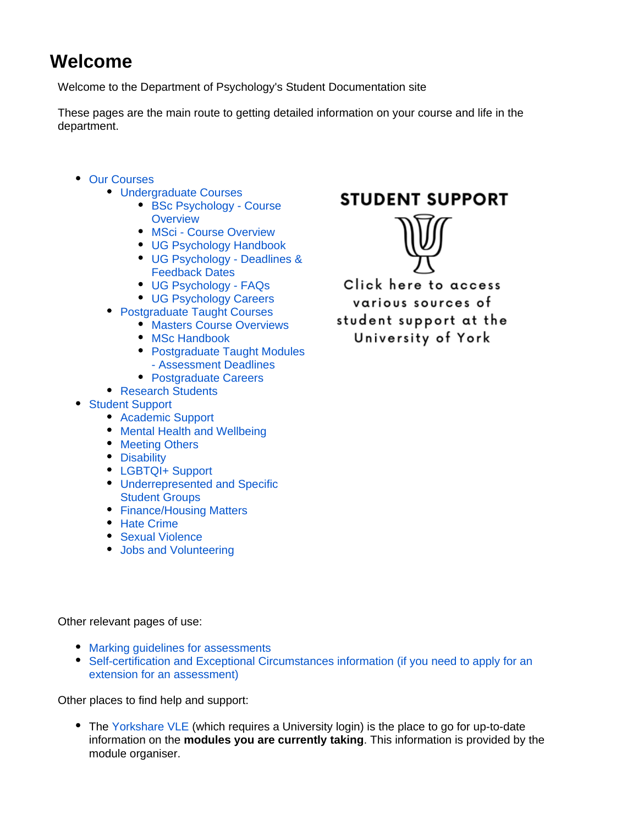## **Welcome**

Welcome to the Department of Psychology's Student Documentation site

These pages are the main route to getting detailed information on your course and life in the department.

- [Our Courses](https://wiki.york.ac.uk/display/PsyStudentDocs/Our+Courses)
	- [Undergraduate Courses](https://wiki.york.ac.uk/display/PsyStudentDocs/Undergraduate+Courses)
		- [BSc Psychology Course](https://wiki.york.ac.uk/display/PsyStudentDocs/BSc+Psychology+-+Course+Overview)  **[Overview](https://wiki.york.ac.uk/display/PsyStudentDocs/BSc+Psychology+-+Course+Overview)**
		- [MSci Course Overview](https://wiki.york.ac.uk/display/PsyStudentDocs/MSci+-+Course+Overview)
		- [UG Psychology Handbook](https://wiki.york.ac.uk/display/PsyStudentDocs/UG+Psychology+Handbook)
		- [UG Psychology Deadlines &](https://wiki.york.ac.uk/pages/viewpage.action?pageId=39062546)  [Feedback Dates](https://wiki.york.ac.uk/pages/viewpage.action?pageId=39062546)
		- [UG Psychology FAQs](https://wiki.york.ac.uk/display/PsyStudentDocs/UG+Psychology+-+FAQs)
		- [UG Psychology Careers](https://wiki.york.ac.uk/display/PsyStudentDocs/UG+Psychology+Careers)
	- [Postgraduate Taught Courses](https://wiki.york.ac.uk/display/PsyStudentDocs/Postgraduate+Taught+Courses)
		- **[Masters Course Overviews](https://wiki.york.ac.uk/display/PsyStudentDocs/Masters+Course+Overviews)**
		- [MSc Handbook](https://wiki.york.ac.uk/display/PsyStudentDocs/MSc+Handbook)
		- Postgraduate Taught Modules [- Assessment Deadlines](https://wiki.york.ac.uk/display/PsyStudentDocs/Postgraduate+Taught+Modules+-+Assessment+Deadlines)
		- [Postgraduate Careers](https://wiki.york.ac.uk/display/PsyStudentDocs/Postgraduate+Careers)
	- [Research Students](https://wiki.york.ac.uk/display/PsyStudentDocs/Research+Students)
- [Student Support](https://wiki.york.ac.uk/display/PsyStudentDocs/Student+Support)
	- [Academic Support](https://wiki.york.ac.uk/display/PsyStudentDocs/Academic+Support)
	- [Mental Health and Wellbeing](https://wiki.york.ac.uk/display/PsyStudentDocs/Mental+Health+and+Wellbeing)
	- [Meeting Others](https://wiki.york.ac.uk/display/PsyStudentDocs/Meeting+Others)
	- [Disability](https://wiki.york.ac.uk/display/PsyStudentDocs/Disability)
	- [LGBTQI+ Support](https://wiki.york.ac.uk/pages/viewpage.action?pageId=260801554)
	- [Underrepresented and Specific](https://wiki.york.ac.uk/display/PsyStudentDocs/Underrepresented+and+Specific+Student+Groups)  [Student Groups](https://wiki.york.ac.uk/display/PsyStudentDocs/Underrepresented+and+Specific+Student+Groups)
	- [Finance/Housing Matters](https://wiki.york.ac.uk/pages/viewpage.action?pageId=260801559)
	- [Hate Crime](https://wiki.york.ac.uk/display/PsyStudentDocs/Hate+Crime)
	- [Sexual Violence](https://wiki.york.ac.uk/display/PsyStudentDocs/Sexual+Violence)
	- [Jobs and Volunteering](https://wiki.york.ac.uk/display/PsyStudentDocs/Jobs+and+Volunteering)

## **STUDENT SUPPORT**



Click here to access various sources of student support at the University of York

Other relevant pages of use:

- [Marking guidelines for assessments](https://wiki.york.ac.uk/pages/viewpage.action?pageId=107120847)
- [Self-certification and Exceptional Circumstances information \(if you need to apply for an](https://wiki.york.ac.uk/display/PsySharedDocs/Self-certification+and+Exceptional+Circumstances+affecting+Assessment)  [extension for an assessment\)](https://wiki.york.ac.uk/display/PsySharedDocs/Self-certification+and+Exceptional+Circumstances+affecting+Assessment)

Other places to find help and support:

• The [Yorkshare VLE](http://vle.york.ac.uk/) (which requires a University login) is the place to go for up-to-date information on the **modules you are currently taking**. This information is provided by the module organiser.